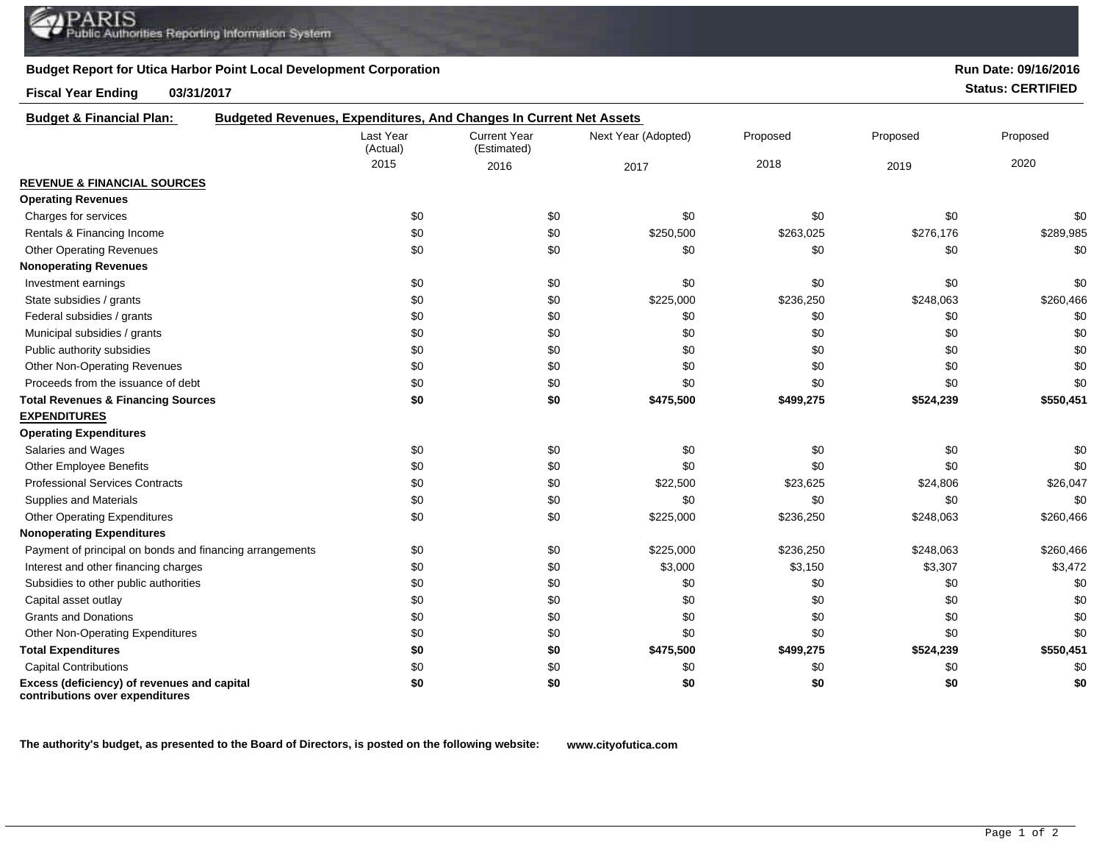## **Budget Report for Utica Harbor Point Local Development Corporation**

## **Fiscal Year Ending 03/31/2017 Status: CERTIFIED**

| <b>Budget &amp; Financial Plan:</b>                                            | Budgeted Revenues, Expenditures, And Changes In Current Net Assets |                                    |                     |           |           |           |  |
|--------------------------------------------------------------------------------|--------------------------------------------------------------------|------------------------------------|---------------------|-----------|-----------|-----------|--|
|                                                                                | Last Year<br>(Actual)                                              | <b>Current Year</b><br>(Estimated) | Next Year (Adopted) | Proposed  | Proposed  | Proposed  |  |
|                                                                                | 2015                                                               | 2016                               | 2017                | 2018      | 2019      | 2020      |  |
| <b>REVENUE &amp; FINANCIAL SOURCES</b>                                         |                                                                    |                                    |                     |           |           |           |  |
| <b>Operating Revenues</b>                                                      |                                                                    |                                    |                     |           |           |           |  |
| Charges for services                                                           | \$0                                                                | \$0                                | \$0                 | \$0       | \$0       | \$0       |  |
| Rentals & Financing Income                                                     | \$0                                                                | \$0                                | \$250,500           | \$263,025 | \$276,176 | \$289,985 |  |
| <b>Other Operating Revenues</b>                                                | \$0                                                                | \$0                                | \$0                 | \$0       | \$0       | \$0       |  |
| <b>Nonoperating Revenues</b>                                                   |                                                                    |                                    |                     |           |           |           |  |
| Investment earnings                                                            | \$0                                                                | \$0                                | \$0                 | \$0       | \$0       | \$0       |  |
| State subsidies / grants                                                       | \$0                                                                | \$0                                | \$225,000           | \$236,250 | \$248,063 | \$260,466 |  |
| Federal subsidies / grants                                                     | \$0                                                                | \$0                                | \$0                 | \$0       | \$0       | \$0       |  |
| Municipal subsidies / grants                                                   | \$0                                                                | \$0                                | \$0                 | \$0       | \$0       | \$0       |  |
| Public authority subsidies                                                     | \$0                                                                | \$0                                | \$0                 | \$0       | \$0       | \$0       |  |
| Other Non-Operating Revenues                                                   | \$0                                                                | \$0                                | \$0                 | \$0       | \$0       | \$0       |  |
| Proceeds from the issuance of debt                                             | \$0                                                                | \$0                                | \$0                 | \$0       | \$0       | \$0       |  |
| <b>Total Revenues &amp; Financing Sources</b>                                  | \$0                                                                | \$0                                | \$475,500           | \$499,275 | \$524,239 | \$550,451 |  |
| <b>EXPENDITURES</b>                                                            |                                                                    |                                    |                     |           |           |           |  |
| <b>Operating Expenditures</b>                                                  |                                                                    |                                    |                     |           |           |           |  |
| Salaries and Wages                                                             | \$0                                                                | \$0                                | \$0                 | \$0       | \$0       | \$0       |  |
| <b>Other Employee Benefits</b>                                                 | \$0                                                                | \$0                                | \$0                 | \$0       | \$0       | \$0       |  |
| <b>Professional Services Contracts</b>                                         | \$0                                                                | \$0                                | \$22,500            | \$23,625  | \$24,806  | \$26,047  |  |
| Supplies and Materials                                                         | \$0                                                                | \$0                                | \$0                 | \$0       | \$0       | \$0       |  |
| <b>Other Operating Expenditures</b>                                            | \$0                                                                | \$0                                | \$225,000           | \$236,250 | \$248,063 | \$260,466 |  |
| <b>Nonoperating Expenditures</b>                                               |                                                                    |                                    |                     |           |           |           |  |
| Payment of principal on bonds and financing arrangements                       | \$0                                                                | \$0                                | \$225,000           | \$236,250 | \$248,063 | \$260,466 |  |
| Interest and other financing charges                                           | \$0                                                                | \$0                                | \$3,000             | \$3,150   | \$3,307   | \$3,472   |  |
| Subsidies to other public authorities                                          | \$0                                                                | \$0                                | \$0                 | \$0       | \$0       | \$0       |  |
| Capital asset outlay                                                           | \$0                                                                | \$0                                | \$0                 | \$0       | \$0       | \$0       |  |
| <b>Grants and Donations</b>                                                    | \$0                                                                | \$0                                | \$0                 | \$0       | \$0       | \$0       |  |
| Other Non-Operating Expenditures                                               | \$0                                                                | \$0                                | \$0                 | \$0       | \$0       | \$0       |  |
| <b>Total Expenditures</b>                                                      | \$0                                                                | \$0                                | \$475,500           | \$499,275 | \$524,239 | \$550,451 |  |
| <b>Capital Contributions</b>                                                   | \$0                                                                | \$0                                | \$0                 | \$0       | \$0       | \$0       |  |
| Excess (deficiency) of revenues and capital<br>contributions over expenditures | \$0                                                                | \$0                                | \$0                 | \$0       | \$0       | \$0       |  |

**The authority's budget, as presented to the Board of Directors, is posted on the following website: www.cityofutica.com**